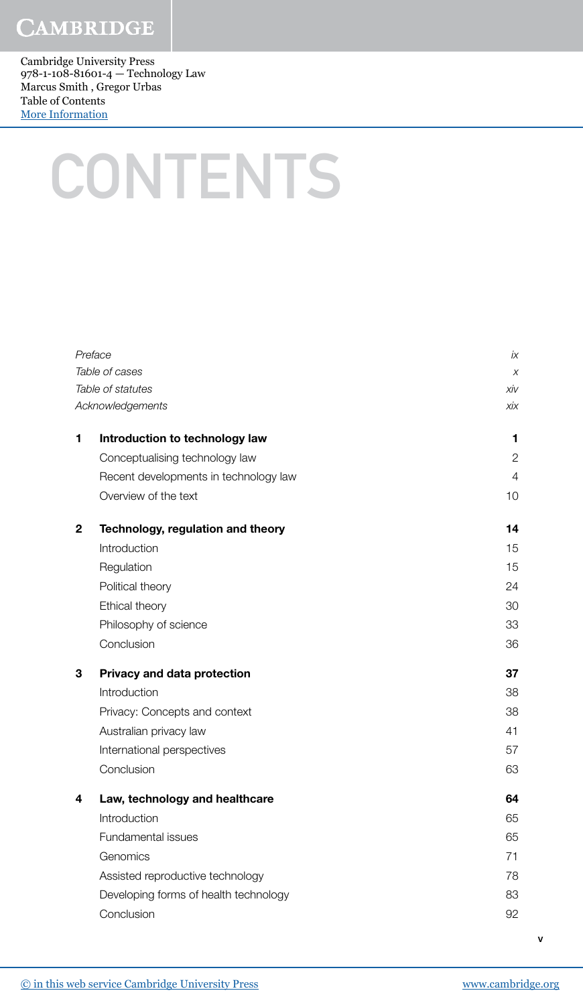## **CAMBRIDGE**

Cambridge University Press 978-1-108-81601-4 — Technology Law Marcus Smith , Gregor Urbas Table of Contents [More Information](www.cambridge.org/9781108816014)

## **CONTENTS**

| Preface      |                                       | İХ             |
|--------------|---------------------------------------|----------------|
|              | Table of cases                        | X              |
|              | Table of statutes                     | xiv            |
|              | Acknowledgements                      | хiх            |
| 1            | Introduction to technology law        | 1              |
|              | Conceptualising technology law        | $\overline{2}$ |
|              | Recent developments in technology law | 4              |
|              | Overview of the text                  | 10             |
| $\mathbf{2}$ | Technology, regulation and theory     | 14             |
|              | Introduction                          | 15             |
|              | Regulation                            | 15             |
|              | Political theory                      | 24             |
|              | Ethical theory                        | 30             |
|              | Philosophy of science                 | 33             |
|              | Conclusion                            | 36             |
| 3            | Privacy and data protection           | 37             |
|              | Introduction                          | 38             |
|              | Privacy: Concepts and context         | 38             |
|              | Australian privacy law                | 41             |
|              | International perspectives            | 57             |
|              | Conclusion                            | 63             |
| 4            | Law, technology and healthcare        | 64             |
|              | Introduction                          | 65             |
|              | Fundamental issues                    | 65             |
|              | Genomics                              | 71             |
|              | Assisted reproductive technology      | 78             |
|              | Developing forms of health technology | 83             |
|              | Conclusion                            | 92             |
|              |                                       |                |

v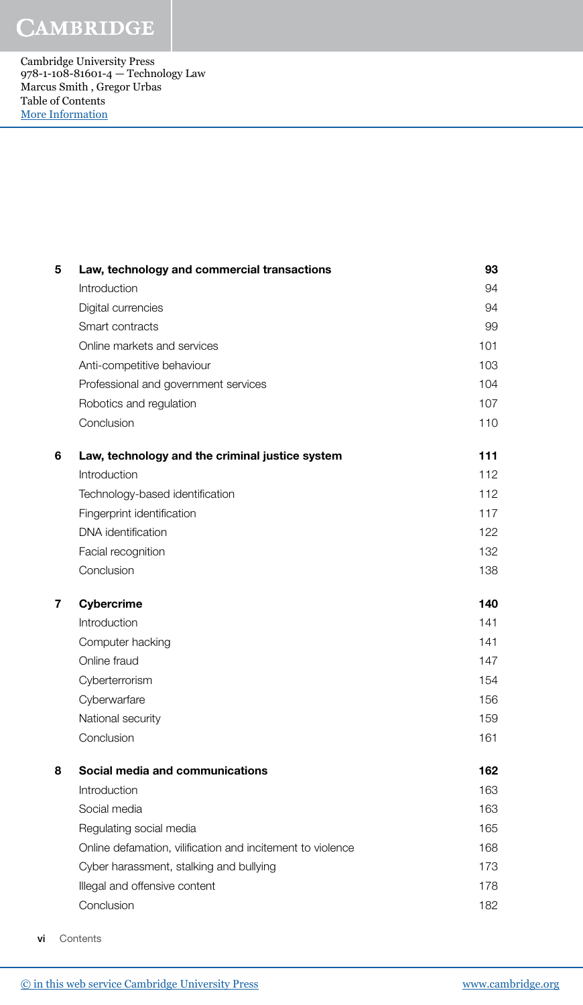## **CAMBRIDGE**

Cambridge University Press 978-1-108-81601-4 — Technology Law Marcus Smith , Gregor Urbas Table of Contents [More Information](www.cambridge.org/9781108816014)

| 5              | Law, technology and commercial transactions                | 93  |
|----------------|------------------------------------------------------------|-----|
|                | Introduction                                               | 94  |
|                | Digital currencies                                         | 94  |
|                | Smart contracts                                            | 99  |
|                | Online markets and services                                | 101 |
|                | Anti-competitive behaviour                                 | 103 |
|                | Professional and government services                       | 104 |
|                | Robotics and regulation                                    | 107 |
|                | Conclusion                                                 | 110 |
| 6              | Law, technology and the criminal justice system            | 111 |
|                | Introduction                                               | 112 |
|                | Technology-based identification                            | 112 |
|                | Fingerprint identification                                 | 117 |
|                | DNA identification                                         | 122 |
|                | Facial recognition                                         | 132 |
|                | Conclusion                                                 | 138 |
|                |                                                            |     |
| $\overline{7}$ | <b>Cybercrime</b>                                          | 140 |
|                | Introduction                                               | 141 |
|                | Computer hacking                                           | 141 |
|                | Online fraud                                               | 147 |
|                | Cyberterrorism                                             | 154 |
|                | Cyberwarfare                                               | 156 |
|                | National security                                          | 159 |
|                | Conclusion                                                 | 161 |
| 8              | Social media and communications                            | 162 |
|                | Introduction                                               | 163 |
|                | Social media                                               | 163 |
|                | Regulating social media                                    | 165 |
|                | Online defamation, vilification and incitement to violence | 168 |
|                | Cyber harassment, stalking and bullying                    | 173 |
|                | Illegal and offensive content                              | 178 |
|                | Conclusion                                                 | 182 |

vi Contents